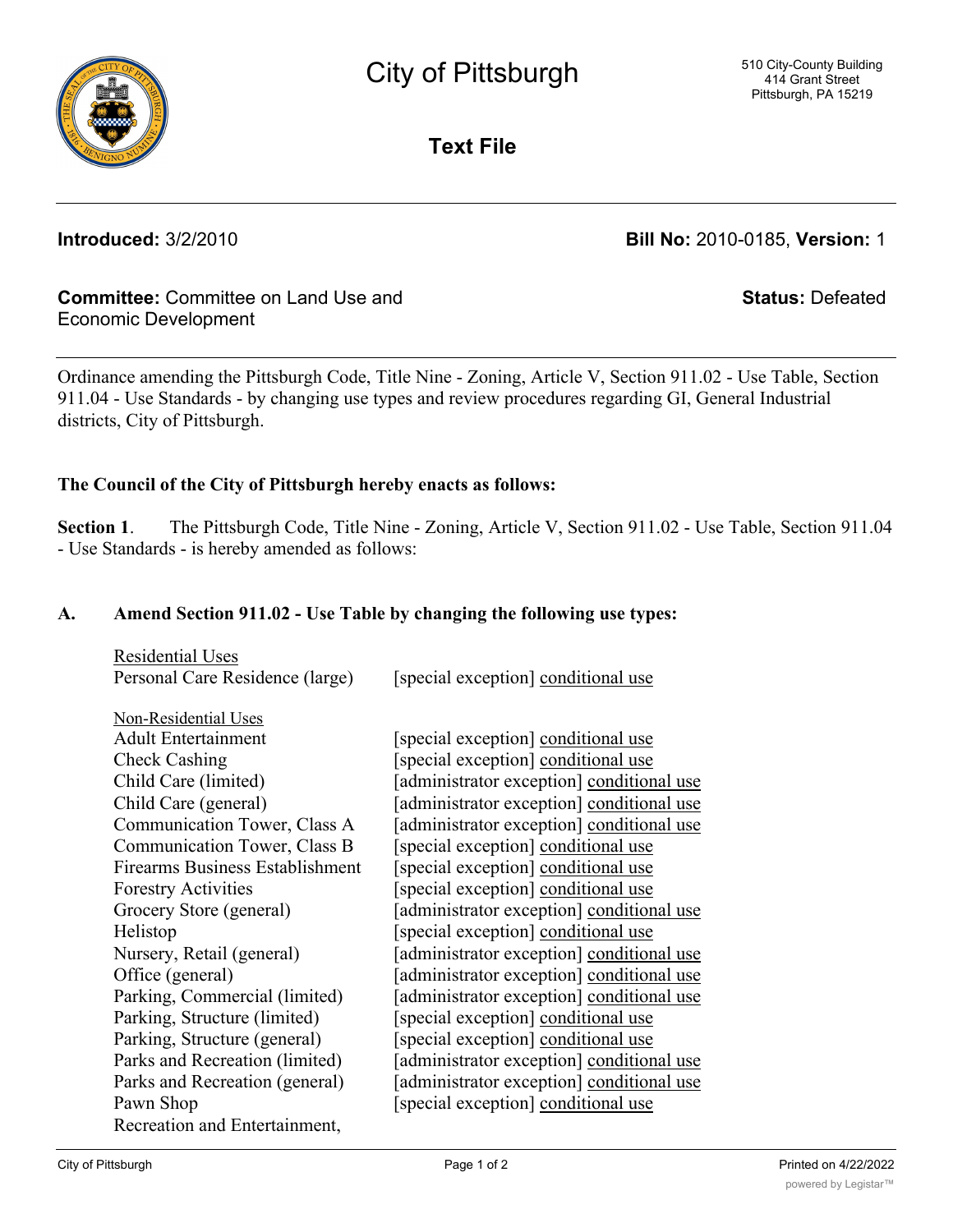Economic Development

Ordinance amending the Pittsburgh Code, Title Nine - Zoning, Article V, Section 911.02 - Use Table, Section 911.04 - Use Standards - by changing use types and review procedures regarding GI, General Industrial districts, City of Pittsburgh.

City of Pittsburgh

**Text File**

**Introduced:** 3/2/2010 **Bill No:** 2010-0185, **Version:** 1

# **The Council of the City of Pittsburgh hereby enacts as follows:**

**Committee:** Committee on Land Use and

**Section 1**. The Pittsburgh Code, Title Nine - Zoning, Article V, Section 911.02 - Use Table, Section 911.04 - Use Standards - is hereby amended as follows:

## **A. Amend Section 911.02 - Use Table by changing the following use types:**

| <b>Residential Uses</b>                |                                           |
|----------------------------------------|-------------------------------------------|
| Personal Care Residence (large)        | [special exception] conditional use       |
| Non-Residential Uses                   |                                           |
|                                        |                                           |
| <b>Adult Entertainment</b>             | [special exception] conditional use       |
| <b>Check Cashing</b>                   | [special exception] conditional use       |
| Child Care (limited)                   | [administrator exception] conditional use |
| Child Care (general)                   | [administrator exception] conditional use |
| Communication Tower, Class A           | [administrator exception] conditional use |
| Communication Tower, Class B           | [special exception] conditional use       |
| <b>Firearms Business Establishment</b> | [special exception] conditional use       |
| <b>Forestry Activities</b>             | [special exception] conditional use       |
| Grocery Store (general)                | [administrator exception] conditional use |
| Helistop                               | [special exception] conditional use       |
| Nursery, Retail (general)              | [administrator exception] conditional use |
| Office (general)                       | [administrator exception] conditional use |
| Parking, Commercial (limited)          | [administrator exception] conditional use |
| Parking, Structure (limited)           | [special exception] conditional use       |
| Parking, Structure (general)           | [special exception] conditional use       |
| Parks and Recreation (limited)         | [administrator exception] conditional use |
| Parks and Recreation (general)         | [administrator exception] conditional use |
| Pawn Shop                              | [special exception] conditional use       |
| Recreation and Entertainment,          |                                           |

**Status:** Defeated